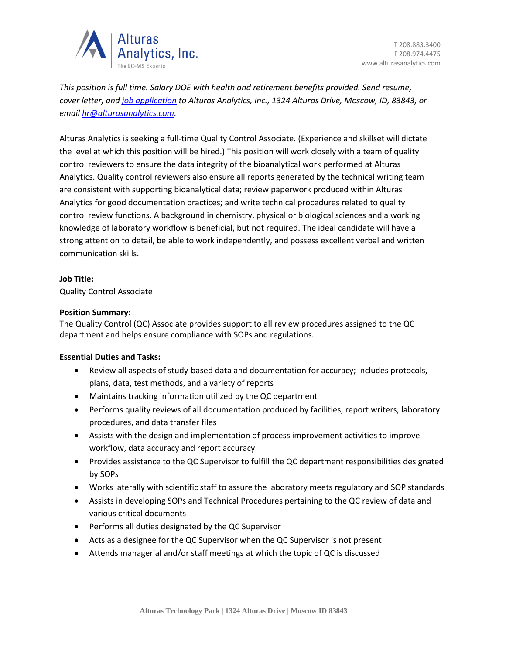

*This position is full time. Salary DOE with health and retirement benefits provided. Send resume, cover letter, an[d job application](https://alturasanalytics.com/media/41140/alturas-job-application-form.pdf) to Alturas Analytics, Inc., 1324 Alturas Drive, Moscow, ID, 83843, or email [hr@alturasanalytics.com.](mailto:hr@alturasanalytics.com)*

Alturas Analytics is seeking a full-time Quality Control Associate. (Experience and skillset will dictate the level at which this position will be hired.) This position will work closely with a team of quality control reviewers to ensure the data integrity of the bioanalytical work performed at Alturas Analytics. Quality control reviewers also ensure all reports generated by the technical writing team are consistent with supporting bioanalytical data; review paperwork produced within Alturas Analytics for good documentation practices; and write technical procedures related to quality control review functions. A background in chemistry, physical or biological sciences and a working knowledge of laboratory workflow is beneficial, but not required. The ideal candidate will have a strong attention to detail, be able to work independently, and possess excellent verbal and written communication skills.

# **Job Title:**

Quality Control Associate

## **Position Summary:**

The Quality Control (QC) Associate provides support to all review procedures assigned to the QC department and helps ensure compliance with SOPs and regulations.

# **Essential Duties and Tasks:**

- Review all aspects of study-based data and documentation for accuracy; includes protocols, plans, data, test methods, and a variety of reports
- Maintains tracking information utilized by the QC department
- Performs quality reviews of all documentation produced by facilities, report writers, laboratory procedures, and data transfer files
- Assists with the design and implementation of process improvement activities to improve workflow, data accuracy and report accuracy
- Provides assistance to the QC Supervisor to fulfill the QC department responsibilities designated by SOPs
- Works laterally with scientific staff to assure the laboratory meets regulatory and SOP standards
- Assists in developing SOPs and Technical Procedures pertaining to the QC review of data and various critical documents
- Performs all duties designated by the QC Supervisor
- Acts as a designee for the QC Supervisor when the QC Supervisor is not present
- Attends managerial and/or staff meetings at which the topic of QC is discussed